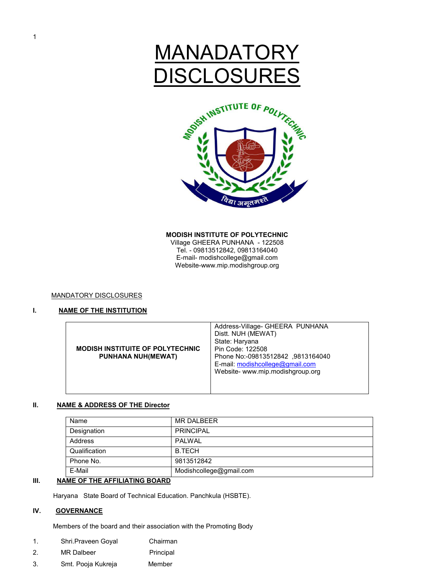# **MANADAT DISCLOSURES**



#### **MODISH INSTITUTE OF POLYTECHNIC**

Village GHEERA PUNHANA - 122508 Tel. - 09813512842, 09813164040 E-mail- modishcollege@gmail.com Website-www.mip.modishgroup.org

## MANDATORY DISCLOSURES

## **I.** NAME OF THE INSTITUTION

| <b>MODISH INSTITUITE OF POLYTECHNIC</b><br><b>PUNHANA NUH(MEWAT)</b> | Address-Village- GHEERA PUNHANA<br>Distt. NUH (MEWAT)<br>State: Haryana<br>Pin Code: 122508<br>Phone No:-09813512842, 9813164040<br>E-mail: modishcollege@gmail.com<br>Website- www.mip.modishgroup.org |
|----------------------------------------------------------------------|---------------------------------------------------------------------------------------------------------------------------------------------------------------------------------------------------------|
|----------------------------------------------------------------------|---------------------------------------------------------------------------------------------------------------------------------------------------------------------------------------------------------|

## **II. NAME & ADDRESS OF THE Director**

| Name          | <b>MR DALBEER</b>       |
|---------------|-------------------------|
| Designation   | <b>PRINCIPAL</b>        |
| Address       | PALWAL                  |
| Qualification | <b>B.TECH</b>           |
| Phone No.     | 9813512842              |
| E-Mail        | Modishcollege@gmail.com |

## **III.** NAME OF THE AFFILIATING BOARD

Haryana State Board of Technical Education. Panchkula (HSBTE).

# **IV. GOVERNANCE**

Members of the board and their association with the Promoting Body

- 1. Shri.Praveen Goyal Chairman
- 2. MR Dalbeer Principal
- 3. Smt. Pooja Kukreja Member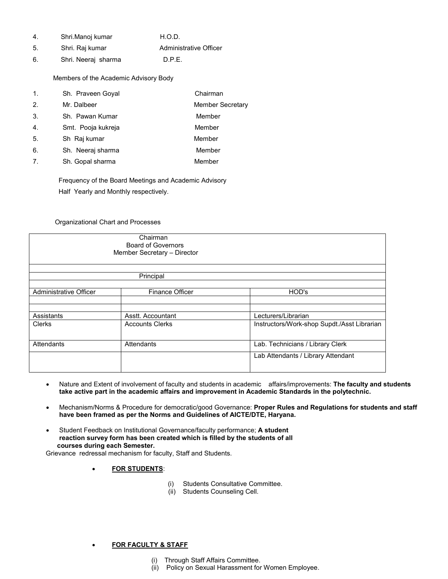| 4 | Shri.Manoj kumar | H.O.D.                 |
|---|------------------|------------------------|
| 5 | Shri. Raj kumar  | Administrative Officer |

6. Shri. Neeraj sharma D.P.E.

Members of the Academic Advisory Body

| 1. | Sh. Praveen Goyal  | Chairman                |
|----|--------------------|-------------------------|
| 2. | Mr. Dalbeer        | <b>Member Secretary</b> |
| 3. | Sh. Pawan Kumar    | Member                  |
| 4. | Smt. Pooja kukreja | Member                  |
| 5. | Sh Raj kumar       | Member                  |
| 6. | Sh. Neeraj sharma  | Member                  |
| 7. | Sh. Gopal sharma   | Member                  |

 Frequency of the Board Meetings and Academic Advisory Half Yearly and Monthly respectively.

## Organizational Chart and Processes

|                        | Chairman<br><b>Board of Governors</b><br>Member Secretary - Director |                                             |
|------------------------|----------------------------------------------------------------------|---------------------------------------------|
|                        | Principal                                                            |                                             |
| Administrative Officer | <b>Finance Officer</b>                                               | HOD's                                       |
|                        |                                                                      |                                             |
| Assistants             | Asstt. Accountant                                                    | Lecturers/Librarian                         |
| Clerks                 | <b>Accounts Clerks</b>                                               | Instructors/Work-shop Supdt./Asst Librarian |
| Attendants             | Attendants                                                           | Lab. Technicians / Library Clerk            |
|                        |                                                                      | Lab Attendants / Library Attendant          |

- Nature and Extent of involvement of faculty and students in academic affairs/improvements: **The faculty and students take active part in the academic affairs and improvement in Academic Standards in the polytechnic.**
- Mechanism/Norms & Procedure for democratic/good Governance: **Proper Rules and Regulations for students and staff have been framed as per the Norms and Guidelines of AICTE/DTE, Haryana.**
- Student Feedback on Institutional Governance/faculty performance; **A student reaction survey form has been created which is filled by the students of all courses during each Semester.**

Grievance redressal mechanism for faculty, Staff and Students.

## • **FOR STUDENTS**:

- (i) Students Consultative Committee.
- (ii) Students Counseling Cell.

## • **FOR FACULTY & STAFF**

- (i) Through Staff Affairs Committee.
- (ii) Policy on Sexual Harassment for Women Employee.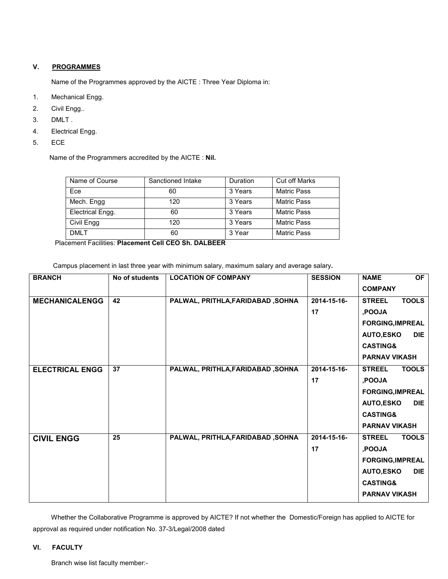# **V. PROGRAMMES**

Name of the Programmes approved by the AICTE : Three Year Diploma in:

- 1. Mechanical Engg.
- 2. Civil Engg..
- 3. DMLT .
- 4. Electrical Engg.
- 5. ECE

Name of the Programmers accredited by the AICTE : **Nil.** 

| Name of Course   | Sanctioned Intake | Duration | <b>Cut off Marks</b> |
|------------------|-------------------|----------|----------------------|
| Ece              | 60                | 3 Years  | <b>Matric Pass</b>   |
| Mech. Engg       | 120               | 3 Years  | <b>Matric Pass</b>   |
| Electrical Engg. | 60                | 3 Years  | <b>Matric Pass</b>   |
| Civil Engg       | 120               | 3 Years  | Matric Pass          |
| DMI T            | 60                | 3 Year   | <b>Matric Pass</b>   |

Placement Facilities: **Placement Cell CEO Sh. DALBEER**

Campus placement in last three year with minimum salary, maximum salary and average salary**.** 

| <b>BRANCH</b>          | No of students | <b>LOCATION OF COMPANY</b>        | <b>SESSION</b>    | OF<br><b>NAME</b><br><b>COMPANY</b>                                                                                                                                         |
|------------------------|----------------|-----------------------------------|-------------------|-----------------------------------------------------------------------------------------------------------------------------------------------------------------------------|
| <b>MECHANICALENGG</b>  | 42             | PALWAL, PRITHLA, FARIDABAD, SOHNA | 2014-15-16-<br>17 | <b>TOOLS</b><br><b>STREEL</b><br>,POOJA<br><b>FORGING, IMPREAL</b><br><b>AUTO,ESKO</b><br><b>DIE</b><br><b>CASTING&amp;</b>                                                 |
| <b>ELECTRICAL ENGG</b> | 37             | PALWAL, PRITHLA, FARIDABAD, SOHNA | 2014-15-16-<br>17 | <b>PARNAV VIKASH</b><br><b>TOOLS</b><br><b>STREEL</b><br>,POOJA<br><b>FORGING, IMPREAL</b><br><b>AUTO,ESKO</b><br><b>DIE</b><br><b>CASTING&amp;</b><br><b>PARNAV VIKASH</b> |
| <b>CIVIL ENGG</b>      | 25             | PALWAL, PRITHLA, FARIDABAD, SOHNA | 2014-15-16-<br>17 | <b>STREEL</b><br><b>TOOLS</b><br>,POOJA<br><b>FORGING, IMPREAL</b><br><b>AUTO,ESKO</b><br><b>DIE</b><br><b>CASTING&amp;</b><br><b>PARNAV VIKASH</b>                         |

 Whether the Collaborative Programme is approved by AICTE? If not whether the Domestic/Foreign has applied to AICTE for approval as required under notification No. 37-3/Legal/2008 dated

# **VI. FACULTY**

Branch wise list faculty member:-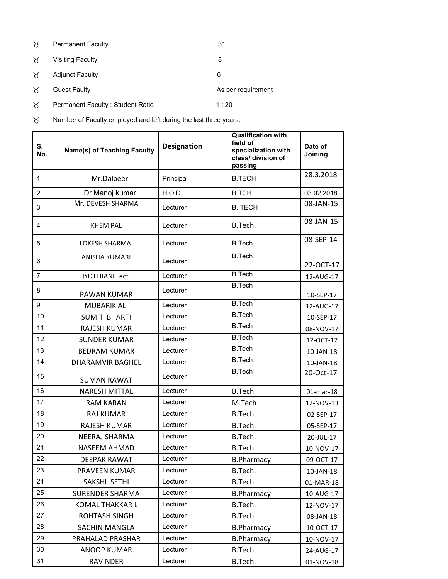| ੇਨ       | <b>Permanent Faculty</b>         | 31                 |
|----------|----------------------------------|--------------------|
| X        | <b>Visiting Faculty</b>          | 8                  |
| $\times$ | <b>Adjunct Faculty</b>           | 6                  |
| χ        | <b>Guest Faulty</b>              | As per requirement |
| χ        | Permanent Faculty: Student Ratio | 1:20               |

 $\forall$  Number of Faculty employed and left during the last three years.

| S.<br>No.      | <b>Name(s) of Teaching Faculty</b> | <b>Designation</b> | <b>Qualification with</b><br>field of<br>specialization with<br>class/ division of<br>passing | Date of<br>Joining |
|----------------|------------------------------------|--------------------|-----------------------------------------------------------------------------------------------|--------------------|
| $\mathbf{1}$   | Mr.Dalbeer                         | Principal          | <b>B.TECH</b>                                                                                 | 28.3.2018          |
| $\overline{2}$ | Dr.Manoj kumar                     | H.O.D              | <b>B.TCH</b>                                                                                  | 03.02.2018         |
| 3              | Mr. DEVESH SHARMA                  | Lecturer           | <b>B. TECH</b>                                                                                | 08-JAN-15          |
| 4              | <b>KHEM PAL</b>                    | Lecturer           | B.Tech.                                                                                       | 08-JAN-15          |
| 5              | LOKESH SHARMA.                     | Lecturer           | <b>B.Tech</b>                                                                                 | 08-SEP-14          |
| 6              | ANISHA KUMARI                      | Lecturer           | <b>B.Tech</b>                                                                                 | 22-OCT-17          |
| $\overline{7}$ | <b>JYOTI RANI Lect.</b>            | Lecturer           | <b>B.Tech</b>                                                                                 | 12-AUG-17          |
| 8              | PAWAN KUMAR                        | Lecturer           | <b>B.Tech</b>                                                                                 | 10-SEP-17          |
| 9              | <b>MUBARIK ALI</b>                 | Lecturer           | <b>B.Tech</b>                                                                                 | 12-AUG-17          |
| 10             | <b>SUMIT BHARTI</b>                | Lecturer           | <b>B.Tech</b>                                                                                 | 10-SEP-17          |
| 11             | <b>RAJESH KUMAR</b>                | Lecturer           | <b>B.Tech</b>                                                                                 | 08-NOV-17          |
| 12             | <b>SUNDER KUMAR</b>                | Lecturer           | <b>B.Tech</b>                                                                                 | 12-OCT-17          |
| 13             | <b>BEDRAM KUMAR</b>                | Lecturer           | <b>B.Tech</b>                                                                                 | 10-JAN-18          |
| 14             | <b>DHARAMVIR BAGHEL</b>            | Lecturer           | <b>B.Tech</b>                                                                                 | 10-JAN-18          |
| 15             | <b>SUMAN RAWAT</b>                 | Lecturer           | <b>B.Tech</b>                                                                                 | 20-Oct-17          |
| 16             | <b>NARESH MITTAL</b>               | Lecturer           | <b>B.Tech</b>                                                                                 | $01$ -mar-18       |
| 17             | <b>RAM KARAN</b>                   | Lecturer           | M.Tech                                                                                        | 12-NOV-13          |
| 18             | <b>RAJ KUMAR</b>                   | Lecturer           | B.Tech.                                                                                       | 02-SEP-17          |
| 19             | <b>RAJESH KUMAR</b>                | Lecturer           | B.Tech.                                                                                       | 05-SEP-17          |
| 20             | NEERAJ SHARMA                      | Lecturer           | B.Tech.                                                                                       | 20-JUL-17          |
| 21             | <b>NASEEM AHMAD</b>                | Lecturer           | B.Tech.                                                                                       | 10-NOV-17          |
| 22             | DEEPAK RAWAT                       | Lecturer           | <b>B.Pharmacy</b>                                                                             | 09-OCT-17          |
| 23             | PRAVEEN KUMAR                      | Lecturer           | B.Tech.                                                                                       | 10-JAN-18          |
| 24             | SAKSHI SETHI                       | Lecturer           | B.Tech.                                                                                       | 01-MAR-18          |
| 25             | <b>SURENDER SHARMA</b>             | Lecturer           | <b>B.Pharmacy</b>                                                                             | 10-AUG-17          |
| 26             | <b>KOMAL THAKKAR L</b>             | Lecturer           | B.Tech.                                                                                       | 12-NOV-17          |
| 27             | ROHTASH SINGH                      | Lecturer           | B.Tech.                                                                                       | 08-JAN-18          |
| 28             | SACHIN MANGLA                      | Lecturer           | <b>B.Pharmacy</b>                                                                             | 10-OCT-17          |
| 29             | PRAHALAD PRASHAR                   | Lecturer           | <b>B.Pharmacy</b>                                                                             | 10-NOV-17          |
| 30             | <b>ANOOP KUMAR</b>                 | Lecturer           | B.Tech.                                                                                       | 24-AUG-17          |
| 31             | <b>RAVINDER</b>                    | Lecturer           | B.Tech.                                                                                       | 01-NOV-18          |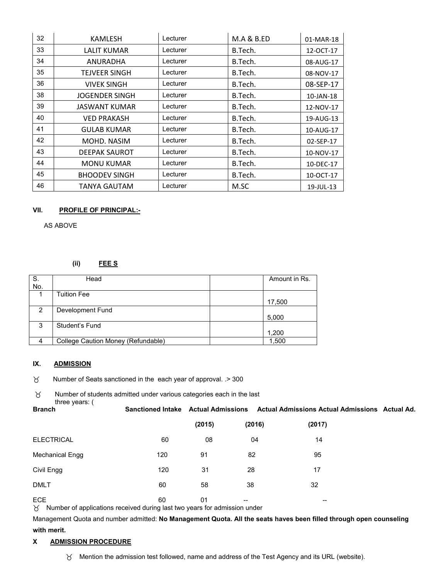| 32 | KAMLESH               | Lecturer | <b>M.A &amp; B.ED</b> | 01-MAR-18 |
|----|-----------------------|----------|-----------------------|-----------|
| 33 | <b>LALIT KUMAR</b>    | Lecturer | B.Tech.               | 12-OCT-17 |
| 34 | ANURADHA              | Lecturer | B.Tech.               | 08-AUG-17 |
| 35 | TEJVEER SINGH         | Lecturer | B.Tech.               | 08-NOV-17 |
| 36 | <b>VIVEK SINGH</b>    | Lecturer | B.Tech.               | 08-SEP-17 |
| 38 | <b>JOGENDER SINGH</b> | Lecturer | B.Tech.               | 10-JAN-18 |
| 39 | JASWANT KUMAR         | Lecturer | B.Tech.               | 12-NOV-17 |
| 40 | <b>VED PRAKASH</b>    | Lecturer | B.Tech.               | 19-AUG-13 |
| 41 | <b>GULAB KUMAR</b>    | Lecturer | B.Tech.               | 10-AUG-17 |
| 42 | MOHD. NASIM           | Lecturer | B.Tech.               | 02-SEP-17 |
| 43 | <b>DEEPAK SAUROT</b>  | Lecturer | B.Tech.               | 10-NOV-17 |
| 44 | MONU KUMAR            | Lecturer | B.Tech.               | 10-DEC-17 |
| 45 | <b>BHOODEV SINGH</b>  | Lecturer | B.Tech.               | 10-OCT-17 |
| 46 | TANYA GAUTAM          | Lecturer | M.SC                  | 19-JUL-13 |

## **VII. PROFILE OF PRINCIPAL:-**

AS ABOVE

# **(ii) FEE S**

| S.            | Head                               | Amount in Rs. |
|---------------|------------------------------------|---------------|
|               |                                    |               |
| No.           |                                    |               |
|               | <b>Tuition Fee</b>                 |               |
|               |                                    |               |
|               |                                    | 17,500        |
|               |                                    |               |
| $\mathcal{P}$ | Development Fund                   |               |
|               |                                    |               |
|               |                                    | 5,000         |
| 3             | Student's Fund                     |               |
|               |                                    |               |
|               |                                    | 1,200         |
|               |                                    |               |
| 4             | College Caution Money (Refundable) | 1,500         |
|               |                                    |               |

# **IX. ADMISSION**

 Number of Seats sanctioned in the each year of approval. .> 300  $\beta$ 

 Number of students admitted under various categories each in the last three years: (

| $\cdots$ $\sim$ $\sim$ $\cdots$ $\sim$ $\cdots$<br><b>Branch</b>                                 | <b>Sanctioned Intake Actual Admissions</b> |        |        | Actual Admissions Actual Admissions Actual Ad. |  |
|--------------------------------------------------------------------------------------------------|--------------------------------------------|--------|--------|------------------------------------------------|--|
|                                                                                                  |                                            | (2015) | (2016) | (2017)                                         |  |
| <b>ELECTRICAL</b>                                                                                | 60                                         | 08     | 04     | 14                                             |  |
| Mechanical Engg                                                                                  | 120                                        | 91     | 82     | 95                                             |  |
| Civil Engg                                                                                       | 120                                        | 31     | 28     | 17                                             |  |
| <b>DMLT</b>                                                                                      | 60                                         | 58     | 38     | 32                                             |  |
| <b>ECE</b><br>$\times$ Number of applications received during last two years for admission under | 60                                         | 01     | $- -$  | $\overline{\phantom{m}}$                       |  |

 $\beta$  Number of applications received during last two years for admission

Management Quota and number admitted: **No Management Quota. All the seats haves been filled through open counseling with merit.** 

# **X ADMISSION PROCEDURE**

Mention the admission test followed, name and address of the Test Agency and its URL (website).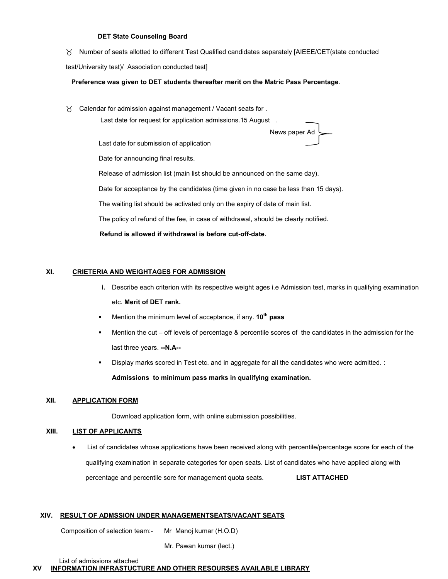#### **DET State Counseling Board**

Number of seats allotted to different Test Qualified candidates separately [AIEEE/CET(state conducted

test/University test)/ Association conducted test]

#### **Preference was given to DET students thereafter merit on the Matric Pass Percentage**.

Calendar for admission against management / Vacant seats for .

Last date for request for application admissions.15 August .

News paper Ad

Last date for submission of application

Date for announcing final results.

Release of admission list (main list should be announced on the same day).

Date for acceptance by the candidates (time given in no case be less than 15 days).

The waiting list should be activated only on the expiry of date of main list.

The policy of refund of the fee, in case of withdrawal, should be clearly notified.

 **Refund is allowed if withdrawal is before cut-off-date.** 

## **XI. CRIETERIA AND WEIGHTAGES FOR ADMISSION**

- **i.** Describe each criterion with its respective weight ages i.e Admission test, marks in qualifying examination etc. **Merit of DET rank.**
- Mention the minimum level of acceptance, if any. **10th pass**
- Mention the cut off levels of percentage & percentile scores of the candidates in the admission for the last three years. **--N.A--**
- Display marks scored in Test etc. and in aggregate for all the candidates who were admitted. :

**Admissions to minimum pass marks in qualifying examination.** 

## **XII. APPLICATION FORM**

Download application form, with online submission possibilities.

## **XIII. LIST OF APPLICANTS**

• List of candidates whose applications have been received along with percentile/percentage score for each of the qualifying examination in separate categories for open seats. List of candidates who have applied along with percentage and percentile sore for management quota seats. **LIST ATTACHED**

#### **XIV. RESULT OF ADMSSION UNDER MANAGEMENTSEATS/VACANT SEATS**

Composition of selection team:- Mr Manoj kumar (H.O.D)

Mr. Pawan kumar (lect.)

List of admissions attached

**XV INFORMATION INFRASTUCTURE AND OTHER RESOURSES AVAILABLE LIBRARY**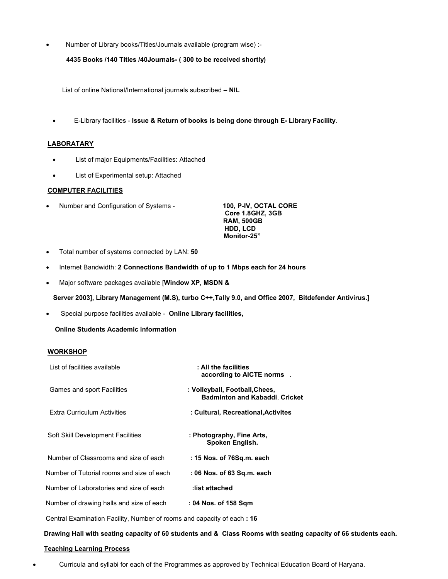• Number of Library books/Titles/Journals available (program wise) :-

 **4435 Books /140 Titles /40Journals- ( 300 to be received shortly)** 

List of online National/International journals subscribed – **NIL** 

• E-Library facilities - **Issue & Return of books is being done through E- Library Facility**.

#### **LABORATARY**

- List of major Equipments/Facilities: Attached
- List of Experimental setup: Attached

# **COMPUTER FACILITIES**

• Number and Configuration of Systems - **100, P-IV, OCTAL CORE** 

**Core 1.8GHZ, 3GB RAM, 500GB HDD, LCD Monitor-25"** 

- Total number of systems connected by LAN: **50**
- Internet Bandwidth: **2 Connections Bandwidth of up to 1 Mbps each for 24 hours**
- Major software packages available [**Window XP, MSDN &**

 **Server 2003], Library Management (M.S), turbo C++,Tally 9.0, and Office 2007, Bitdefender Antivirus.]** 

• Special purpose facilities available - **Online Library facilities,** 

 **Online Students Academic information** 

# **WORKSHOP**

| List of facilities available                                           | : All the facilities<br>according to AICTE norms.                       |
|------------------------------------------------------------------------|-------------------------------------------------------------------------|
| Games and sport Facilities                                             | : Volleyball, Football, Chees,<br><b>Badminton and Kabaddi, Cricket</b> |
| Extra Curriculum Activities                                            | : Cultural, Recreational, Activites                                     |
| Soft Skill Development Facilities                                      | : Photography, Fine Arts,<br>Spoken English.                            |
| Number of Classrooms and size of each                                  | : 15 Nos. of 76Sq.m. each                                               |
| Number of Tutorial rooms and size of each                              | : 06 Nos. of 63 Sq.m. each                                              |
| Number of Laboratories and size of each                                | :list attached                                                          |
| Number of drawing halls and size of each                               | : 04 Nos. of 158 Sqm                                                    |
| Central Examination Facility, Number of rooms and capacity of each: 16 |                                                                         |

#### **Drawing Hall with seating capacity of 60 students and & Class Rooms with seating capacity of 66 students each.**

## **Teaching Learning Process**

• Curricula and syllabi for each of the Programmes as approved by Technical Education Board of Haryana.